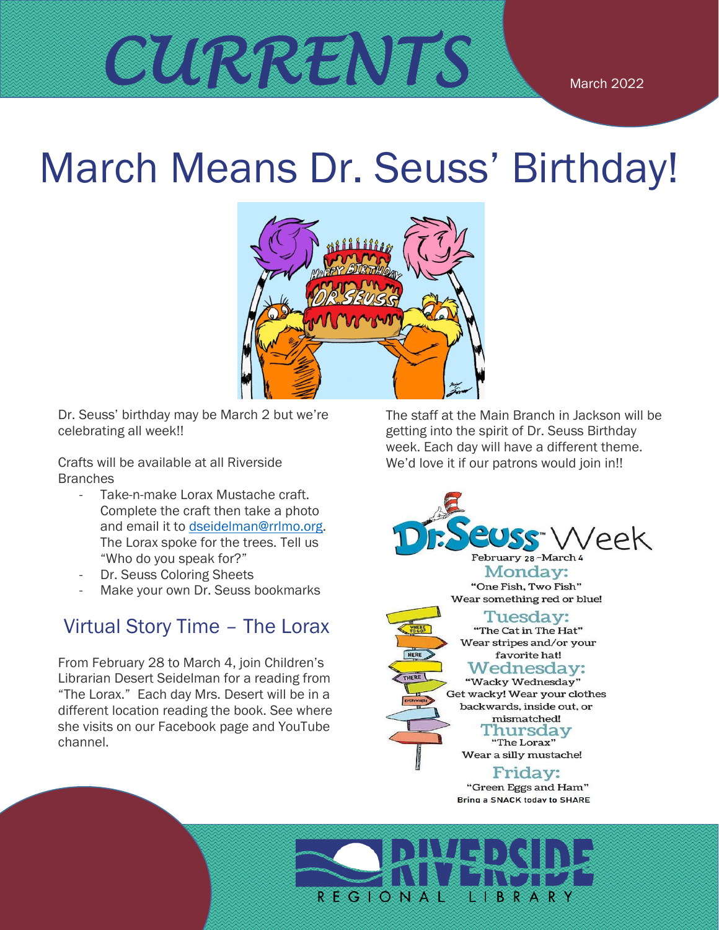# March Means Dr. Seuss' Birthday!



Dr. Seuss' birthday may be March 2 but we're celebrating all week!!

Crafts will be available at all Riverside **Branches** 

- Take-n-make Lorax Mustache craft. Complete the craft then take a photo and email it to [dseidelman@rrlmo.org.](mailto:dseidelman@rrlmo.org) The Lorax spoke for the trees. Tell us "Who do you speak for?"
- Dr. Seuss Coloring Sheets
- Make your own Dr. Seuss bookmarks

#### Virtual Story Time – The Lorax

From February 28 to March 4, join Children's Librarian Desert Seidelman for a reading from "The Lorax." Each day Mrs. Desert will be in a different location reading the book. See where she visits on our Facebook page and YouTube channel.

The staff at the Main Branch in Jackson will be getting into the spirit of Dr. Seuss Birthday week. Each day will have a different theme. We'd love it if our patrons would join in!!



February 28-March 4 Monday: "One Fish, Two Fish" Wear something red or blue!

favorite hat!

Tuesday:



mismatched! Fhursday "The Lorax" Wear a silly mustache!

Friday:

"Green Eggs and Ham" Bring a SNACK today to SHARE

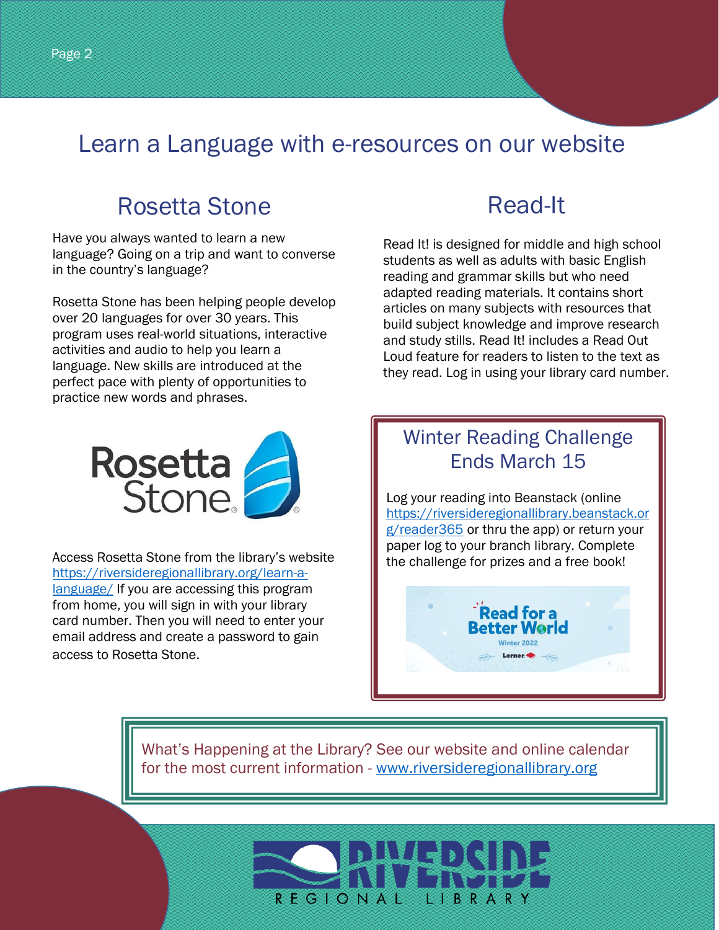## Learn a Language with e-resources on our website

## Rosetta Stone

Have you always wanted to learn a new language? Going on a trip and want to converse in the country's language?

Rosetta Stone has been helping people develop over 20 languages for over 30 years. This program uses real-world situations, interactive activities and audio to help you learn a language. New skills are introduced at the perfect pace with plenty of opportunities to practice new words and phrases.

## Read-It

Read It! is designed for middle and high school students as well as adults with basic English reading and grammar skills but who need adapted reading materials. It contains short articles on many subjects with resources that build subject knowledge and improve research and study stills. Read It! includes a Read Out Loud feature for readers to listen to the text as they read. Log in using your library card number.



Access Rosetta Stone from the library's website [https://riversideregionallibrary.org/learn-a](https://riversideregionallibrary.org/learn-a-language/)[language/](https://riversideregionallibrary.org/learn-a-language/) If you are accessing this program from home, you will sign in with your library card number. Then you will need to enter your email address and create a password to gain access to Rosetta Stone.

#### Winter Reading Challenge Ends March 15

Log your reading into Beanstack (online [https://riversideregionallibrary.beanstack.or](https://riversideregionallibrary.beanstack.org/reader365) [g/reader365](https://riversideregionallibrary.beanstack.org/reader365) or thru the app) or return your paper log to your branch library. Complete the challenge for prizes and a free book!



What's Happening at the Library? See our website and online calendar for the most current information - [www.riversideregionallibrary.org](http://www.riversideregionallibrary.org/)

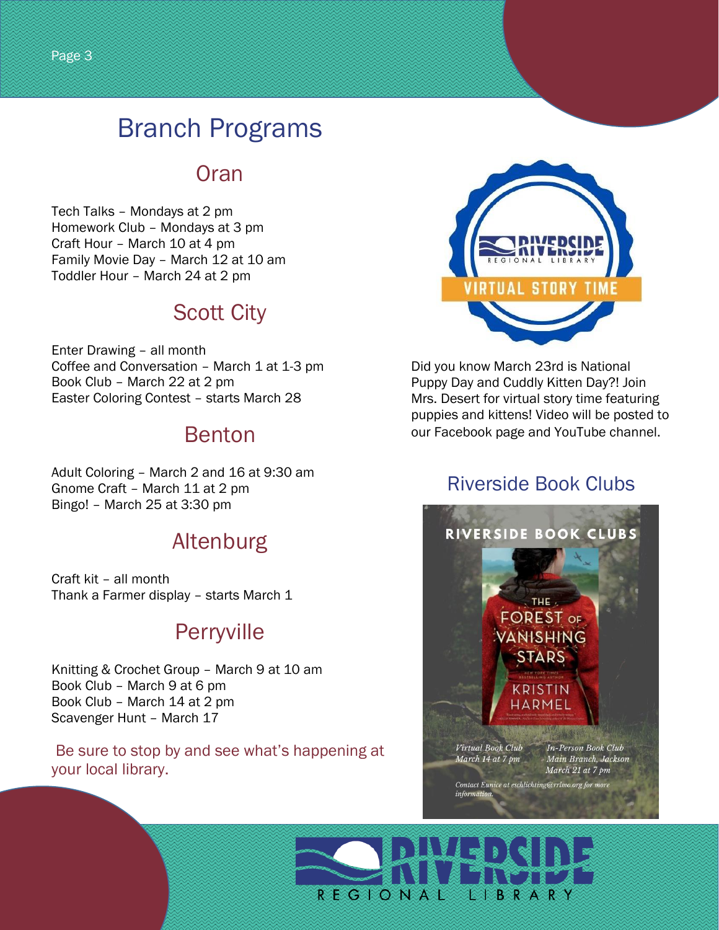## Branch Programs

#### **Oran**

Tech Talks – Mondays at 2 pm Homework Club – Mondays at 3 pm Craft Hour – March 10 at 4 pm Family Movie Day – March 12 at 10 am Toddler Hour – March 24 at 2 pm

## Scott City

Enter Drawing – all month Coffee and Conversation – March 1 at 1-3 pm Book Club – March 22 at 2 pm Easter Coloring Contest – starts March 28

### Benton

Adult Coloring – March 2 and 16 at 9:30 am Gnome Craft – March 11 at 2 pm Bingo! – March 25 at 3:30 pm

#### Altenburg

Craft kit – all month Thank a Farmer display – starts March 1

## Perryville

Knitting & Crochet Group – March 9 at 10 am Book Club – March 9 at 6 pm Book Club – March 14 at 2 pm Scavenger Hunt – March 17

Be sure to stop by and see what's happening at your local library.



Did you know March 23rd is National Puppy Day and Cuddly Kitten Day?! Join Mrs. Desert for virtual story time featuring puppies and kittens! Video will be posted to our Facebook page and YouTube channel.

#### Riverside Book Clubs